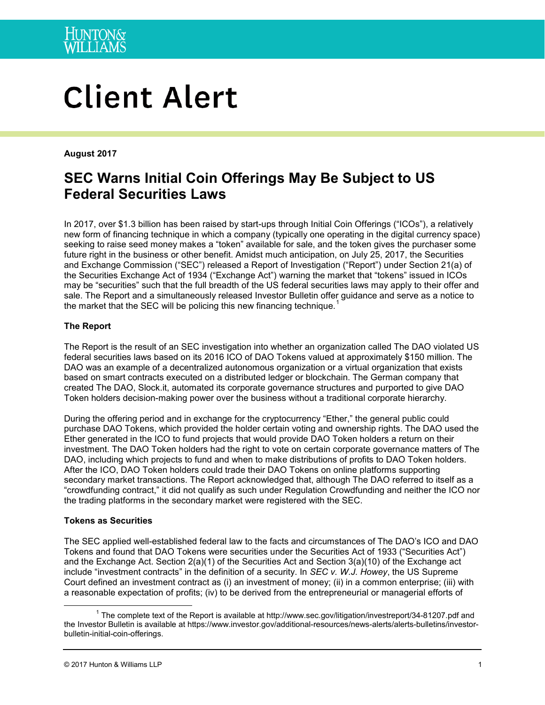# **Client Alert**

**August 2017**

# **SEC Warns Initial Coin Offerings May Be Subject to US Federal Securities Laws**

In 2017, over \$1.3 billion has been raised by start-ups through Initial Coin Offerings ("ICOs"), a relatively new form of financing technique in which a company (typically one operating in the digital currency space) seeking to raise seed money makes a "token" available for sale, and the token gives the purchaser some future right in the business or other benefit. Amidst much anticipation, on July 25, 2017, the Securities and Exchange Commission ("SEC") released a Report of Investigation ("Report") under Section 21(a) of the Securities Exchange Act of 1934 ("Exchange Act") warning the market that "tokens" issued in ICOs may be "securities" such that the full breadth of the US federal securities laws may apply to their offer and sale. The Report and a simultaneously released Investor Bulletin offer guidance and serve as a notice to the market that the SEC will be policing this new financing technique.<sup>[1](#page-0-0)</sup>

# **The Report**

The Report is the result of an SEC investigation into whether an organization called The DAO violated US federal securities laws based on its 2016 ICO of DAO Tokens valued at approximately \$150 million. The DAO was an example of a decentralized autonomous organization or a virtual organization that exists based on smart contracts executed on a distributed ledger or blockchain. The German company that created The DAO, Slock.it, automated its corporate governance structures and purported to give DAO Token holders decision-making power over the business without a traditional corporate hierarchy.

During the offering period and in exchange for the cryptocurrency "Ether," the general public could purchase DAO Tokens, which provided the holder certain voting and ownership rights. The DAO used the Ether generated in the ICO to fund projects that would provide DAO Token holders a return on their investment. The DAO Token holders had the right to vote on certain corporate governance matters of The DAO, including which projects to fund and when to make distributions of profits to DAO Token holders. After the ICO, DAO Token holders could trade their DAO Tokens on online platforms supporting secondary market transactions. The Report acknowledged that, although The DAO referred to itself as a "crowdfunding contract," it did not qualify as such under Regulation Crowdfunding and neither the ICO nor the trading platforms in the secondary market were registered with the SEC.

# **Tokens as Securities**

The SEC applied well-established federal law to the facts and circumstances of The DAO's ICO and DAO Tokens and found that DAO Tokens were securities under the Securities Act of 1933 ("Securities Act") and the Exchange Act. Section 2(a)(1) of the Securities Act and Section 3(a)(10) of the Exchange act include "investment contracts" in the definition of a security. In *SEC v. W.J. Howey*, the US Supreme Court defined an investment contract as (i) an investment of money; (ii) in a common enterprise; (iii) with a reasonable expectation of profits; (iv) to be derived from the entrepreneurial or managerial efforts of

<span id="page-0-0"></span> $1$  The complete text of the Report is available at http://www.sec.gov/litigation/investreport/34-81207.pdf and the Investor Bulletin is available at https://www.investor.gov/additional-resources/news-alerts/alerts-bulletins/investorbulletin-initial-coin-offerings.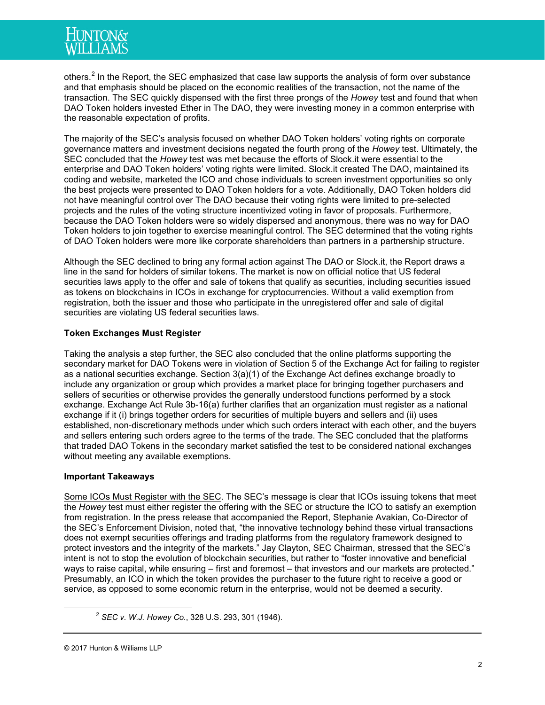others.<sup>[2](#page-1-0)</sup> In the Report, the SEC emphasized that case law supports the analysis of form over substance and that emphasis should be placed on the economic realities of the transaction, not the name of the transaction. The SEC quickly dispensed with the first three prongs of the *Howey* test and found that when DAO Token holders invested Ether in The DAO, they were investing money in a common enterprise with the reasonable expectation of profits.

The majority of the SEC's analysis focused on whether DAO Token holders' voting rights on corporate governance matters and investment decisions negated the fourth prong of the *Howey* test. Ultimately, the SEC concluded that the *Howey* test was met because the efforts of Slock.it were essential to the enterprise and DAO Token holders' voting rights were limited. Slock.it created The DAO, maintained its coding and website, marketed the ICO and chose individuals to screen investment opportunities so only the best projects were presented to DAO Token holders for a vote. Additionally, DAO Token holders did not have meaningful control over The DAO because their voting rights were limited to pre-selected projects and the rules of the voting structure incentivized voting in favor of proposals. Furthermore, because the DAO Token holders were so widely dispersed and anonymous, there was no way for DAO Token holders to join together to exercise meaningful control. The SEC determined that the voting rights of DAO Token holders were more like corporate shareholders than partners in a partnership structure.

Although the SEC declined to bring any formal action against The DAO or Slock.it, the Report draws a line in the sand for holders of similar tokens. The market is now on official notice that US federal securities laws apply to the offer and sale of tokens that qualify as securities, including securities issued as tokens on blockchains in ICOs in exchange for cryptocurrencies. Without a valid exemption from registration, both the issuer and those who participate in the unregistered offer and sale of digital securities are violating US federal securities laws.

# **Token Exchanges Must Register**

Taking the analysis a step further, the SEC also concluded that the online platforms supporting the secondary market for DAO Tokens were in violation of Section 5 of the Exchange Act for failing to register as a national securities exchange. Section 3(a)(1) of the Exchange Act defines exchange broadly to include any organization or group which provides a market place for bringing together purchasers and sellers of securities or otherwise provides the generally understood functions performed by a stock exchange. Exchange Act Rule 3b-16(a) further clarifies that an organization must register as a national exchange if it (i) brings together orders for securities of multiple buyers and sellers and (ii) uses established, non-discretionary methods under which such orders interact with each other, and the buyers and sellers entering such orders agree to the terms of the trade. The SEC concluded that the platforms that traded DAO Tokens in the secondary market satisfied the test to be considered national exchanges without meeting any available exemptions.

# **Important Takeaways**

Some ICOs Must Register with the SEC. The SEC's message is clear that ICOs issuing tokens that meet the *Howey* test must either register the offering with the SEC or structure the ICO to satisfy an exemption from registration. In the press release that accompanied the Report, Stephanie Avakian, Co-Director of the SEC's Enforcement Division, noted that, "the innovative technology behind these virtual transactions does not exempt securities offerings and trading platforms from the regulatory framework designed to protect investors and the integrity of the markets." Jay Clayton, SEC Chairman, stressed that the SEC's intent is not to stop the evolution of blockchain securities, but rather to "foster innovative and beneficial ways to raise capital, while ensuring – first and foremost – that investors and our markets are protected." Presumably, an ICO in which the token provides the purchaser to the future right to receive a good or service, as opposed to some economic return in the enterprise, would not be deemed a security.

<span id="page-1-0"></span> <sup>2</sup> *SEC v. W.J. Howey Co.*, 328 U.S. 293, 301 (1946).